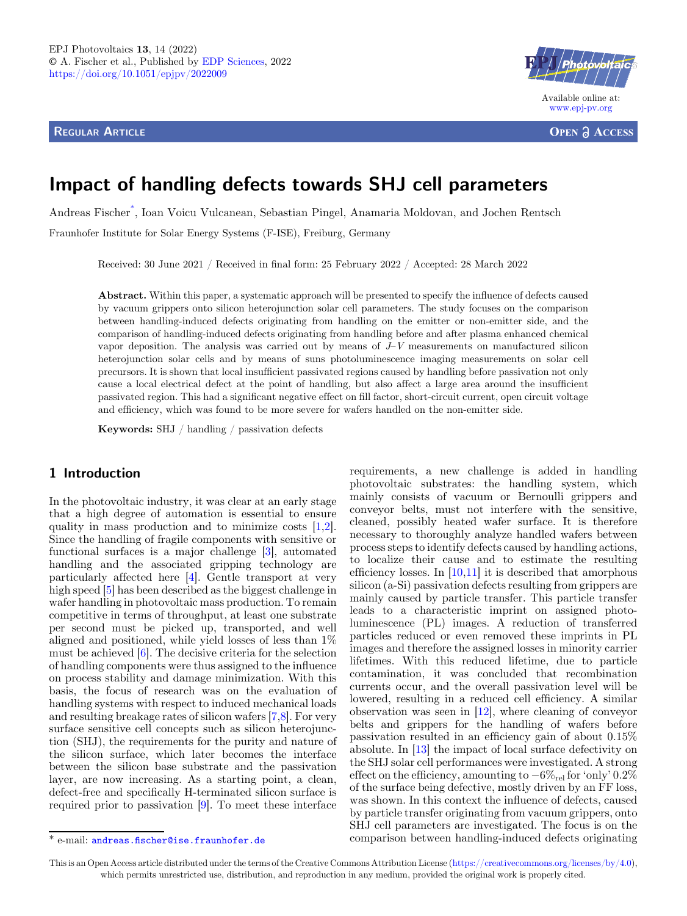REGULAR ARTICLE



**OPEN ACCESS** 

# Impact of handling defects towards SHJ cell parameters

Andreas Fischer\* [, Ioan Voicu Vulcanean, Sebastian Pingel, Anamaria Moldovan, and Jochen Rentsch](https://orcid.org/)

Fraunhofer Institute for Solar Energy Systems (F-ISE), Freiburg, Germany

Received: 30 June 2021 / Received in final form: 25 February 2022 / Accepted: 28 March 2022

Abstract. Within this paper, a systematic approach will be presented to specify the influence of defects caused by vacuum grippers onto silicon heterojunction solar cell parameters. The study focuses on the comparison between handling-induced defects originating from handling on the emitter or non-emitter side, and the comparison of handling-induced defects originating from handling before and after plasma enhanced chemical vapor deposition. The analysis was carried out by means of  $\bar{J}-V$  measurements on manufactured silicon heterojunction solar cells and by means of suns photoluminescence imaging measurements on solar cell precursors. It is shown that local insufficient passivated regions caused by handling before passivation not only cause a local electrical defect at the point of handling, but also affect a large area around the insufficient passivated region. This had a significant negative effect on fill factor, short-circuit current, open circuit voltage and efficiency, which was found to be more severe for wafers handled on the non-emitter side.

Keywords: SHJ / handling / passivation defects

# 1 Introduction

In the photovoltaic industry, it was clear at an early stage that a high degree of automation is essential to ensure quality in mass production and to minimize costs [[1,2](#page-7-0)]. Since the handling of fragile components with sensitive or functional surfaces is a major challenge [[3\]](#page-7-0), automated handling and the associated gripping technology are particularly affected here [[4\]](#page-7-0). Gentle transport at very high speed [[5\]](#page-7-0) has been described as the biggest challenge in wafer handling in photovoltaic mass production. To remain competitive in terms of throughput, at least one substrate per second must be picked up, transported, and well aligned and positioned, while yield losses of less than 1% must be achieved [[6\]](#page-7-0). The decisive criteria for the selection of handling components were thus assigned to the influence on process stability and damage minimization. With this basis, the focus of research was on the evaluation of handling systems with respect to induced mechanical loads and resulting breakage rates of silicon wafers [\[7,8](#page-7-0)]. For very surface sensitive cell concepts such as silicon heterojunction (SHJ), the requirements for the purity and nature of the silicon surface, which later becomes the interface between the silicon base substrate and the passivation layer, are now increasing. As a starting point, a clean, defect-free and specifically H-terminated silicon surface is required prior to passivation [\[9](#page-7-0)]. To meet these interface

requirements, a new challenge is added in handling photovoltaic substrates: the handling system, which mainly consists of vacuum or Bernoulli grippers and conveyor belts, must not interfere with the sensitive, cleaned, possibly heated wafer surface. It is therefore necessary to thoroughly analyze handled wafers between process steps to identify defects caused by handling actions, to localize their cause and to estimate the resulting efficiency losses. In  $[10,11]$  $[10,11]$  it is described that amorphous silicon (a-Si) passivation defects resulting from grippers are mainly caused by particle transfer. This particle transfer leads to a characteristic imprint on assigned photoluminescence (PL) images. A reduction of transferred particles reduced or even removed these imprints in PL images and therefore the assigned losses in minority carrier lifetimes. With this reduced lifetime, due to particle contamination, it was concluded that recombination currents occur, and the overall passivation level will be lowered, resulting in a reduced cell efficiency. A similar observation was seen in [\[12](#page-7-0)], where cleaning of conveyor belts and grippers for the handling of wafers before passivation resulted in an efficiency gain of about 0.15% absolute. In [\[13](#page-7-0)] the impact of local surface defectivity on the SHJ solar cell performances were investigated. A strong effect on the efficiency, amounting to  $-6\%_{rel}$  for 'only' 0.2% of the surface being defective, mostly driven by an FF loss, was shown. In this context the influence of defects, caused by particle transfer originating from vacuum grippers, onto SHJ cell parameters are investigated. The focus is on the \* e-mail: andreas.fi[scher@ise.fraunhofer.de](mailto:andreas.fischer@ise.fraunhofer.de) comparison between handling-induced defects originating

This is an Open Access article distributed under the terms of the Creative Commons Attribution License [\(https://creativecommons.org/licenses/by/4.0\)](https://creativecommons.org/licenses/by/4.0), which permits unrestricted use, distribution, and reproduction in any medium, provided the original work is properly cited.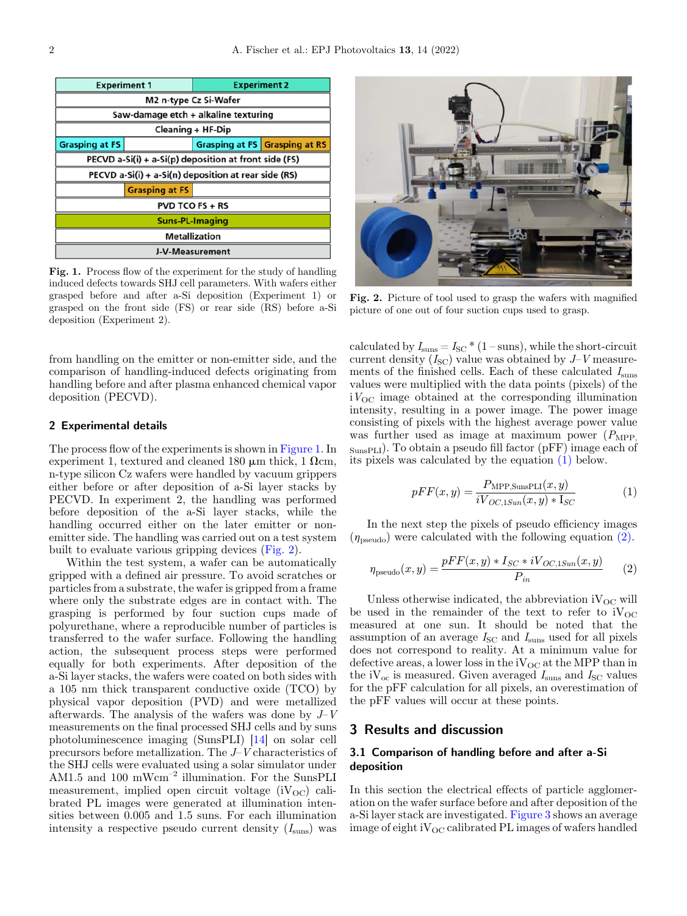

Fig. 1. Process flow of the experiment for the study of handling induced defects towards SHJ cell parameters. With wafers either grasped before and after a-Si deposition (Experiment 1) or grasped on the front side (FS) or rear side (RS) before a-Si deposition (Experiment 2).

from handling on the emitter or non-emitter side, and the comparison of handling-induced defects originating from handling before and after plasma enhanced chemical vapor deposition (PECVD).

#### 2 Experimental details

The process flow of the experiments is shown in Figure 1. In experiment 1, textured and cleaned 180  $\mu$ m thick, 1  $\Omega$ cm, n-type silicon Cz wafers were handled by vacuum grippers either before or after deposition of a-Si layer stacks by PECVD. In experiment 2, the handling was performed before deposition of the a-Si layer stacks, while the handling occurred either on the later emitter or nonemitter side. The handling was carried out on a test system built to evaluate various gripping devices (Fig. 2).

Within the test system, a wafer can be automatically gripped with a defined air pressure. To avoid scratches or particles from a substrate, the wafer is gripped from a frame where only the substrate edges are in contact with. The grasping is performed by four suction cups made of polyurethane, where a reproducible number of particles is transferred to the wafer surface. Following the handling action, the subsequent process steps were performed equally for both experiments. After deposition of the a-Si layer stacks, the wafers were coated on both sides with a 105 nm thick transparent conductive oxide (TCO) by physical vapor deposition (PVD) and were metallized afterwards. The analysis of the wafers was done by  $J-V$ measurements on the final processed SHJ cells and by suns photoluminescence imaging (SunsPLI) [[14\]](#page-7-0) on solar cell precursors before metallization. The J–V characteristics of the SHJ cells were evaluated using a solar simulator under AM1.5 and 100 mWcm<sup>-2</sup> illumination. For the SunsPLI measurement, implied open circuit voltage  $(iV_{OC})$  calibrated PL images were generated at illumination intensities between 0.005 and 1.5 suns. For each illumination intensity a respective pseudo current density  $(I_{\text{sun}})$  was



Fig. 2. Picture of tool used to grasp the wafers with magnified picture of one out of four suction cups used to grasp.

calculated by  $I_{\text{sun}} = I_{\text{SC}} * (1 - \text{suns})$ , while the short-circuit current density  $(I<sub>SC</sub>)$  value was obtained by  $J-V$  measurements of the finished cells. Each of these calculated  $I_{\rm suns}$ values were multiplied with the data points (pixels) of the  $iV_{\text{OC}}$  image obtained at the corresponding illumination intensity, resulting in a power image. The power image consisting of pixels with the highest average power value was further used as image at maximum power  $(P_{\text{MPP}})$ SunsPLI). To obtain a pseudo fill factor (pFF) image each of its pixels was calculated by the equation (1) below.

$$
pFF(x,y) = \frac{P_{\text{MPP},\text{SunsPLI}}(x,y)}{iV_{OC,\text{LSun}}(x,y) * I_{SC}}
$$
(1)

In the next step the pixels of pseudo efficiency images  $(\eta_{\text{pseudo}})$  were calculated with the following equation (2).

$$
\eta_{\text{pseudo}}(x, y) = \frac{pFF(x, y) * I_{SC} * iV_{OC,1Sun}(x, y)}{P_{in}} \tag{2}
$$

Unless otherwise indicated, the abbreviation  $iV_{OC}$  will be used in the remainder of the text to refer to  $iV_{OC}$ measured at one sun. It should be noted that the assumption of an average  $I_{\rm SC}$  and  $I_{\rm sums}$  used for all pixels does not correspond to reality. At a minimum value for defective areas, a lower loss in the  $iV_{OC}$  at the MPP than in the iV<sub>oc</sub> is measured. Given averaged  $I_{\text{sun}}$  and  $I_{\text{SC}}$  values for the pFF calculation for all pixels, an overestimation of the pFF values will occur at these points.

## 3 Results and discussion

## 3.1 Comparison of handling before and after a-Si deposition

In this section the electrical effects of particle agglomeration on the wafer surface before and after deposition of the a-Si layer stack are investigated. [Figure 3](#page-2-0) shows an average image of eight i $V_{OC}$  calibrated PL images of wafers handled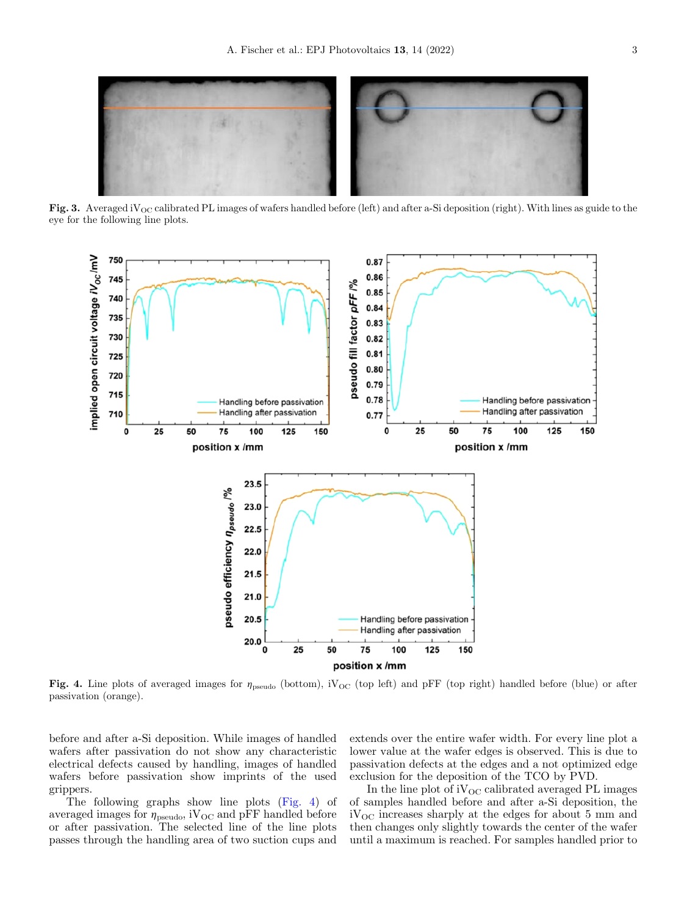<span id="page-2-0"></span>

Fig. 3. Averaged iV<sub>OC</sub> calibrated PL images of wafers handled before (left) and after a-Si deposition (right). With lines as guide to the eye for the following line plots.



Fig. 4. Line plots of averaged images for  $\eta_{\text{pseudo}}$  (bottom),  $iV_{\text{OC}}$  (top left) and pFF (top right) handled before (blue) or after passivation (orange).

before and after a-Si deposition. While images of handled wafers after passivation do not show any characteristic electrical defects caused by handling, images of handled wafers before passivation show imprints of the used grippers.

The following graphs show line plots (Fig. 4) of averaged images for  $\eta_\text{pseudo}, \text{iV}_{\text{OC}}$  and pFF handled before or after passivation. The selected line of the line plots passes through the handling area of two suction cups and

extends over the entire wafer width. For every line plot a lower value at the wafer edges is observed. This is due to passivation defects at the edges and a not optimized edge exclusion for the deposition of the TCO by PVD.

In the line plot of  $iV_{OC}$  calibrated averaged PL images of samples handled before and after a-Si deposition, the  $iV_{\rm OC}$  increases sharply at the edges for about 5 mm and then changes only slightly towards the center of the wafer until a maximum is reached. For samples handled prior to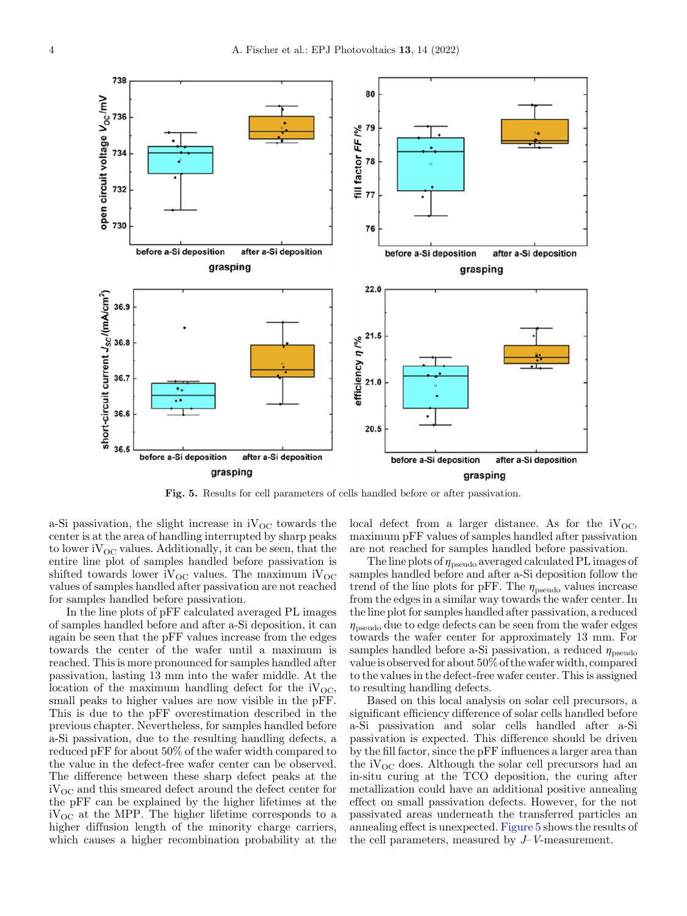

Fig. 5. Results for cell parameters of cells handled before or after passivation.

a-Si passivation, the slight increase in  $iV_{OC}$  towards the center is at the area of handling interrupted by sharp peaks to lower iV $_{\text{OC}}$  values. Additionally, it can be seen, that the entire line plot of samples handled before passivation is shifted towards lower  $iV_{OC}$  values. The maximum  $iV_{OC}$ values of samples handled after passivation are not reached for samples handled before passivation.

In the line plots of pFF calculated averaged PL images of samples handled before and after a-Si deposition, it can again be seen that the pFF values increase from the edges towards the center of the wafer until a maximum is reached. This is more pronounced for samples handled after passivation, lasting 13 mm into the wafer middle. At the location of the maximum handling defect for the  $iV_{OC}$ , small peaks to higher values are now visible in the pFF. This is due to the pFF overestimation described in the previous chapter. Nevertheless, for samples handled before a-Si passivation, due to the resulting handling defects, a reduced pFF for about 50% of the wafer width compared to the value in the defect-free wafer center can be observed. The difference between these sharp defect peaks at the  $iV_{\text{OC}}$  and this smeared defect around the defect center for the pFF can be explained by the higher lifetimes at the  $iV_{\text{OC}}$  at the MPP. The higher lifetime corresponds to a higher diffusion length of the minority charge carriers, which causes a higher recombination probability at the

local defect from a larger distance. As for the  $iV_{OC}$ , maximum pFF values of samples handled after passivation are not reached for samples handled before passivation.

The line plots of  $\eta_{pseudo}$  averaged calculated PL images of samples handled before and after a-Si deposition follow the trend of the line plots for pFF. The  $\eta_\text{pseudo}$  values increase from the edges in a similar way towards the wafer center. In the line plot for samples handled after passivation, a reduced  $\eta_{\text{pseudo}}$  due to edge defects can be seen from the wafer edges towards the wafer center for approximately 13 mm. For samples handled before a-Si passivation, a reduced  $\eta_{\text{pseudo}}$ value is observed for about 50% of the wafer width, compared to the values in the defect-free wafer center. This is assigned to resulting handling defects.

Based on this local analysis on solar cell precursors, a significant efficiency difference of solar cells handled before a-Si passivation and solar cells handled after a-Si passivation is expected. This difference should be driven by the fill factor, since the pFF influences a larger area than the  $iV_{OC}$  does. Although the solar cell precursors had an in-situ curing at the TCO deposition, the curing after metallization could have an additional positive annealing effect on small passivation defects. However, for the not passivated areas underneath the transferred particles an annealing effect is unexpected. Figure 5 shows the results of the cell parameters, measured by J–V-measurement.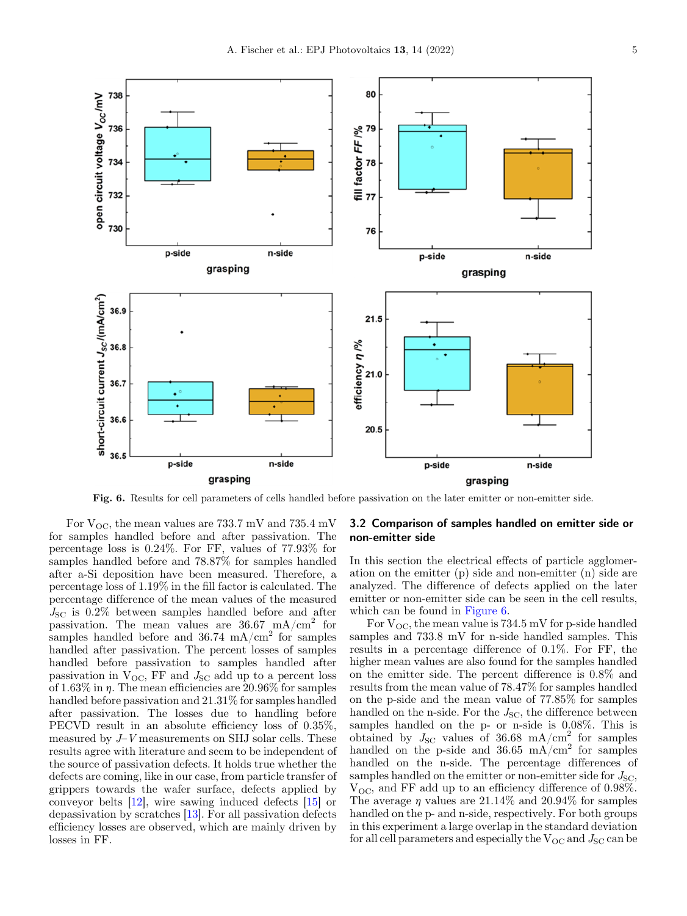<span id="page-4-0"></span>

Fig. 6. Results for cell parameters of cells handled before passivation on the later emitter or non-emitter side.

For  $V_{\text{OC}}$ , the mean values are 733.7 mV and 735.4 mV for samples handled before and after passivation. The percentage loss is 0.24%. For FF, values of 77.93% for samples handled before and 78.87% for samples handled after a-Si deposition have been measured. Therefore, a percentage loss of 1.19% in the fill factor is calculated. The percentage difference of the mean values of the measured  $J_{\rm SC}$  is 0.2% between samples handled before and after passivation. The mean values are  $36.67 \text{ mA/cm}^2$  for samples handled before and  $36.74 \text{ mA/cm}^2$  for samples handled after passivation. The percent losses of samples handled before passivation to samples handled after passivation in  $V_{\text{OC}}$ , FF and  $J_{\text{SC}}$  add up to a percent loss of 1.63% in  $\eta$ . The mean efficiencies are 20.96% for samples handled before passivation and 21.31% for samples handled after passivation. The losses due to handling before PECVD result in an absolute efficiency loss of 0.35%, measured by  $J-V$  measurements on SHJ solar cells. These results agree with literature and seem to be independent of the source of passivation defects. It holds true whether the defects are coming, like in our case, from particle transfer of grippers towards the wafer surface, defects applied by conveyor belts [[12\]](#page-7-0), wire sawing induced defects [[15\]](#page-7-0) or depassivation by scratches [[13\]](#page-7-0). For all passivation defects efficiency losses are observed, which are mainly driven by losses in FF.

#### 3.2 Comparison of samples handled on emitter side or non-emitter side

In this section the electrical effects of particle agglomeration on the emitter (p) side and non-emitter (n) side are analyzed. The difference of defects applied on the later emitter or non-emitter side can be seen in the cell results, which can be found in Figure 6.

For  $V_{\text{OC}}$ , the mean value is 734.5 mV for p-side handled samples and 733.8 mV for n-side handled samples. This results in a percentage difference of 0.1%. For FF, the higher mean values are also found for the samples handled on the emitter side. The percent difference is 0.8% and results from the mean value of 78.47% for samples handled on the p-side and the mean value of 77.85% for samples handled on the n-side. For the  $J_{SC}$ , the difference between samples handled on the p- or n-side is 0.08%. This is obtained by  $J_{\rm SC}$  values of 36.68 mA/cm<sup>2</sup> for samples handled on the p-side and 36.65 mA/cm<sup>2</sup> for samples handled on the n-side. The percentage differences of samples handled on the emitter or non-emitter side for  $J_{\rm SC}$ ,  $V_{\text{OC}}$ , and FF add up to an efficiency difference of 0.98%. The average  $\eta$  values are 21.14% and 20.94% for samples handled on the p- and n-side, respectively. For both groups in this experiment a large overlap in the standard deviation for all cell parameters and especially the  $V_{\text{OC}}$  and  $J_{\text{SC}}$  can be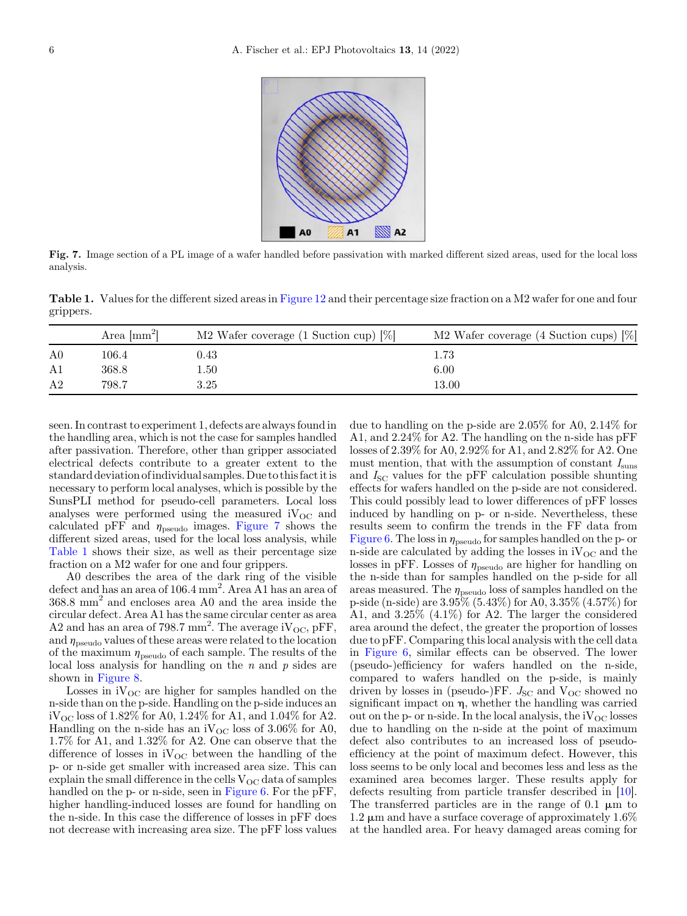

Fig. 7. Image section of a PL image of a wafer handled before passivation with marked different sized areas, used for the local loss analysis.

Table 1. Values for the different sized areas in Figure 12 and their percentage size fraction on a M2 wafer for one and four grippers.

|                | Area $\mathrm{[mm^2]}$ | M2 Wafer coverage $(1 \text{ Suction cup}) [\%]$ | M2 Wafer coverage $(4 \text{ Suction cups})$ $[\%]$ |
|----------------|------------------------|--------------------------------------------------|-----------------------------------------------------|
| A <sub>0</sub> | 106.4                  | $\rm 0.43$                                       | $1.73\,$                                            |
| A1             | 368.8                  | l.50                                             | 6.00                                                |
| A <sub>2</sub> | 798.7                  | 3.25                                             | 13.00                                               |

seen. In contrast to experiment 1, defects are always found in the handling area, which is not the case for samples handled after passivation. Therefore, other than gripper associated electrical defects contribute to a greater extent to the standard deviation ofindividual samples. Due to this factitis necessary to perform local analyses, which is possible by the SunsPLI method for pseudo-cell parameters. Local loss analyses were performed using the measured  $iV_{OC}$  and calculated pFF and  $\eta_{\text{pseudo}}$  images. Figure 7 shows the different sized areas, used for the local loss analysis, while Table 1 shows their size, as well as their percentage size fraction on a M2 wafer for one and four grippers.

A0 describes the area of the dark ring of the visible defect and has an area of 106.4 mm<sup>2</sup>. Area A1 has an area of 368.8 mm<sup>2</sup> and encloses area A0 and the area inside the circular defect. Area A1 has the same circular center as area A2 and has an area of 798.7 mm<sup>2</sup>. The average  $iV_{\text{OC}},$  pFF, and  $\eta_{pseudo}$  values of these areas were related to the location of the maximum  $\eta_{pseudo}$  of each sample. The results of the local loss analysis for handling on the  $n$  and  $p$  sides are shown in [Figure 8.](#page-6-0)

Losses in  $iV_{\text{OC}}$  are higher for samples handled on the n-side than on the p-side. Handling on the p-side induces an  $iV_{\text{OC}}$  loss of 1.82% for A0, 1.24% for A1, and 1.04% for A2. Handling on the n-side has an iV<sub>OC</sub> loss of 3.06% for A0, 1.7% for A1, and 1.32% for A2. One can observe that the difference of losses in  $iV_{OC}$  between the handling of the p- or n-side get smaller with increased area size. This can explain the small difference in the cells  $V_{OC}$  data of samples handled on the p- or n-side, seen in [Figure 6.](#page-4-0) For the pFF, higher handling-induced losses are found for handling on the n-side. In this case the difference of losses in pFF does not decrease with increasing area size. The pFF loss values

due to handling on the p-side are 2.05% for A0, 2.14% for A1, and 2.24% for A2. The handling on the n-side has pFF losses of 2.39% for A0, 2.92% for A1, and 2.82% for A2. One must mention, that with the assumption of constant  $I_{\text{sun}}$ and  $I_{SC}$  values for the pFF calculation possible shunting effects for wafers handled on the p-side are not considered. This could possibly lead to lower differences of pFF losses induced by handling on p- or n-side. Nevertheless, these results seem to confirm the trends in the FF data from [Figure 6](#page-4-0). The loss in  $\eta_{pseudo}$  for samples handled on the p- or n-side are calculated by adding the losses in  $iV_{\text{OC}}$  and the losses in pFF. Losses of  $\eta_{pseudo}$  are higher for handling on the n-side than for samples handled on the p-side for all areas measured. The  $\eta_{pseudo}$  loss of samples handled on the p-side (n-side) are 3.95% (5.43%) for A0, 3.35% (4.57%) for A1, and 3.25% (4.1%) for A2. The larger the considered area around the defect, the greater the proportion of losses due to pFF. Comparing this local analysis with the cell data in [Figure 6](#page-4-0), similar effects can be observed. The lower (pseudo-)efficiency for wafers handled on the n-side, compared to wafers handled on the p-side, is mainly driven by losses in (pseudo-)FF.  $J_{SC}$  and  $V_{OC}$  showed no significant impact on  $\eta$ , whether the handling was carried out on the p- or n-side. In the local analysis, the  $iV_{OC}$  losses due to handling on the n-side at the point of maximum defect also contributes to an increased loss of pseudoefficiency at the point of maximum defect. However, this loss seems to be only local and becomes less and less as the examined area becomes larger. These results apply for defects resulting from particle transfer described in [\[10](#page-7-0)]. The transferred particles are in the range of  $0.1 \mu m$  to 1.2  $\mu$ m and have a surface coverage of approximately 1.6% at the handled area. For heavy damaged areas coming for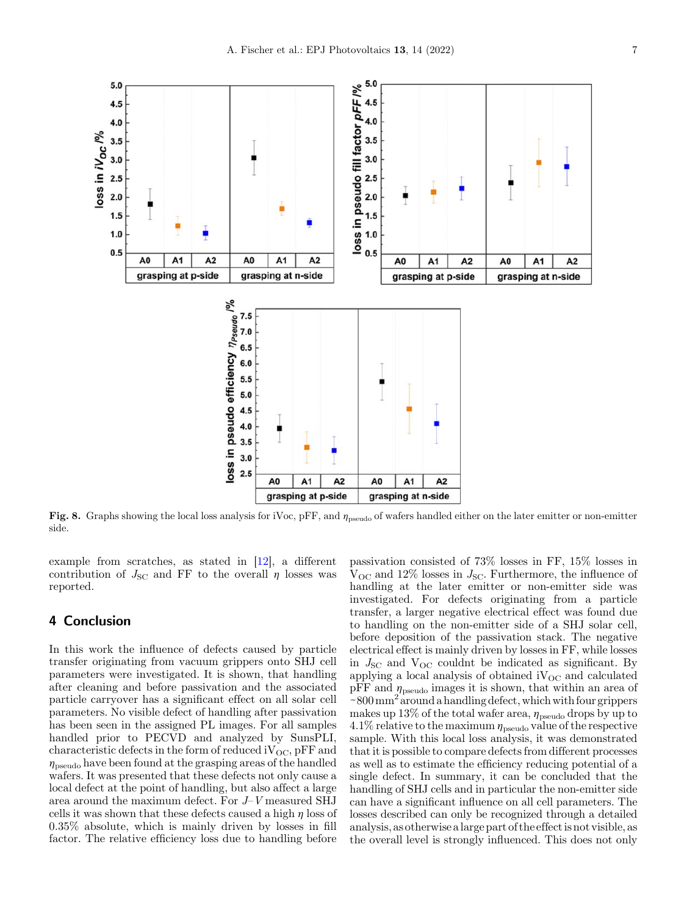<span id="page-6-0"></span>

Fig. 8. Graphs showing the local loss analysis for iVoc,  $pFF$ , and  $\eta_{pseudo}$  of wafers handled either on the later emitter or non-emitter side.

example from scratches, as stated in [\[12](#page-7-0)], a different contribution of  $J_{SC}$  and FF to the overall  $\eta$  losses was reported.

## 4 Conclusion

In this work the influence of defects caused by particle transfer originating from vacuum grippers onto SHJ cell parameters were investigated. It is shown, that handling after cleaning and before passivation and the associated particle carryover has a significant effect on all solar cell parameters. No visible defect of handling after passivation has been seen in the assigned PL images. For all samples handled prior to PECVD and analyzed by SunsPLI, characteristic defects in the form of reduced  $iV_{OC}$ , pFF and  $\eta_{\text{pseudo}}$  have been found at the grasping areas of the handled wafers. It was presented that these defects not only cause a local defect at the point of handling, but also affect a large area around the maximum defect. For J–V measured SHJ cells it was shown that these defects caused a high  $\eta$  loss of 0.35% absolute, which is mainly driven by losses in fill factor. The relative efficiency loss due to handling before

passivation consisted of 73% losses in FF, 15% losses in  $V_{\text{OC}}$  and 12% losses in  $J_{\text{SC}}$ . Furthermore, the influence of handling at the later emitter or non-emitter side was investigated. For defects originating from a particle transfer, a larger negative electrical effect was found due to handling on the non-emitter side of a SHJ solar cell, before deposition of the passivation stack. The negative electrical effect is mainly driven by losses in FF, while losses in  $J_{\rm SC}$  and  $V_{\rm OC}$  couldnt be indicated as significant. By applying a local analysis of obtained  $iV_{OC}$  and calculated pFF and  $\eta_{\text{pseudo}}$  images it is shown, that within an area of  $\sim 800$  mm<sup>2</sup> around a handling defect, which with four grippers makes up 13% of the total wafer area,  $\eta_{pseudo}$  drops by up to 4.1% relative to the maximum  $\eta_{\text{pseudo}}$  value of the respective sample. With this local loss analysis, it was demonstrated that it is possible to compare defects from different processes as well as to estimate the efficiency reducing potential of a single defect. In summary, it can be concluded that the handling of SHJ cells and in particular the non-emitter side can have a significant influence on all cell parameters. The losses described can only be recognized through a detailed analysis, as otherwise alarge part of the effectis not visible, as the overall level is strongly influenced. This does not only